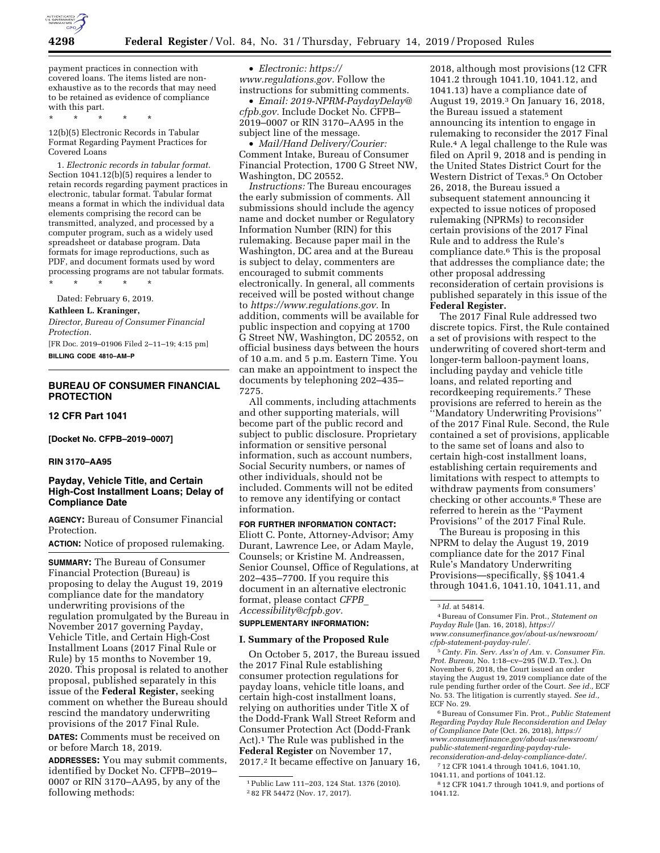

payment practices in connection with covered loans. The items listed are nonexhaustive as to the records that may need to be retained as evidence of compliance with this part.

\* \* \* \* \*

12(b)(5) Electronic Records in Tabular Format Regarding Payment Practices for Covered Loans

1. *Electronic records in tabular format.*  Section 1041.12(b)(5) requires a lender to retain records regarding payment practices in electronic, tabular format. Tabular format means a format in which the individual data elements comprising the record can be transmitted, analyzed, and processed by a computer program, such as a widely used spreadsheet or database program. Data formats for image reproductions, such as PDF, and document formats used by word processing programs are not tabular formats. \* \* \* \* \*

Dated: February 6, 2019.

#### **Kathleen L. Kraninger,**

*Director, Bureau of Consumer Financial Protection.* 

[FR Doc. 2019–01906 Filed 2–11–19; 4:15 pm] **BILLING CODE 4810–AM–P** 

# **BUREAU OF CONSUMER FINANCIAL PROTECTION**

# **12 CFR Part 1041**

**[Docket No. CFPB–2019–0007]** 

#### **RIN 3170–AA95**

#### **Payday, Vehicle Title, and Certain High-Cost Installment Loans; Delay of Compliance Date**

**AGENCY:** Bureau of Consumer Financial Protection.

**ACTION:** Notice of proposed rulemaking.

**SUMMARY:** The Bureau of Consumer Financial Protection (Bureau) is proposing to delay the August 19, 2019 compliance date for the mandatory underwriting provisions of the regulation promulgated by the Bureau in November 2017 governing Payday, Vehicle Title, and Certain High-Cost Installment Loans (2017 Final Rule or Rule) by 15 months to November 19, 2020. This proposal is related to another proposal, published separately in this issue of the **Federal Register,** seeking comment on whether the Bureau should rescind the mandatory underwriting provisions of the 2017 Final Rule.

**DATES:** Comments must be received on or before March 18, 2019.

**ADDRESSES:** You may submit comments, identified by Docket No. CFPB–2019– 0007 or RIN 3170–AA95, by any of the following methods:

• *Electronic: [https://](https://www.regulations.gov) [www.regulations.gov.](https://www.regulations.gov)* Follow the instructions for submitting comments.

• *Email: [2019-NPRM-PaydayDelay@](mailto:2019-NPRM-PaydayDelay@cfpb.gov) [cfpb.gov.](mailto:2019-NPRM-PaydayDelay@cfpb.gov)* Include Docket No. CFPB– 2019–0007 or RIN 3170–AA95 in the subject line of the message.

• *Mail/Hand Delivery/Courier:*  Comment Intake, Bureau of Consumer Financial Protection, 1700 G Street NW, Washington, DC 20552.

*Instructions:* The Bureau encourages the early submission of comments. All submissions should include the agency name and docket number or Regulatory Information Number (RIN) for this rulemaking. Because paper mail in the Washington, DC area and at the Bureau is subject to delay, commenters are encouraged to submit comments electronically. In general, all comments received will be posted without change to *[https://www.regulations.gov.](https://www.regulations.gov)* In addition, comments will be available for public inspection and copying at 1700 G Street NW, Washington, DC 20552, on official business days between the hours of 10 a.m. and 5 p.m. Eastern Time. You can make an appointment to inspect the documents by telephoning 202–435– 7275.

All comments, including attachments and other supporting materials, will become part of the public record and subject to public disclosure. Proprietary information or sensitive personal information, such as account numbers, Social Security numbers, or names of other individuals, should not be included. Comments will not be edited to remove any identifying or contact information.

## **FOR FURTHER INFORMATION CONTACT:**

Eliott C. Ponte, Attorney-Advisor; Amy Durant, Lawrence Lee, or Adam Mayle, Counsels; or Kristine M. Andreassen, Senior Counsel, Office of Regulations, at 202–435–7700. If you require this document in an alternative electronic format, please contact *[CFPB](mailto:CFPB_Accessibility@cfpb.gov)*\_ *[Accessibility@cfpb.gov.](mailto:CFPB_Accessibility@cfpb.gov)* 

# **SUPPLEMENTARY INFORMATION:**

#### **I. Summary of the Proposed Rule**

On October 5, 2017, the Bureau issued the 2017 Final Rule establishing consumer protection regulations for payday loans, vehicle title loans, and certain high-cost installment loans, relying on authorities under Title X of the Dodd-Frank Wall Street Reform and Consumer Protection Act (Dodd-Frank Act).1 The Rule was published in the **Federal Register** on November 17, 2017.2 It became effective on January 16,

2018, although most provisions (12 CFR 1041.2 through 1041.10, 1041.12, and 1041.13) have a compliance date of August 19, 2019.3 On January 16, 2018, the Bureau issued a statement announcing its intention to engage in rulemaking to reconsider the 2017 Final Rule.4 A legal challenge to the Rule was filed on April 9, 2018 and is pending in the United States District Court for the Western District of Texas.<sup>5</sup> On October 26, 2018, the Bureau issued a subsequent statement announcing it expected to issue notices of proposed rulemaking (NPRMs) to reconsider certain provisions of the 2017 Final Rule and to address the Rule's compliance date.6 This is the proposal that addresses the compliance date; the other proposal addressing reconsideration of certain provisions is published separately in this issue of the **Federal Register.** 

The 2017 Final Rule addressed two discrete topics. First, the Rule contained a set of provisions with respect to the underwriting of covered short-term and longer-term balloon-payment loans, including payday and vehicle title loans, and related reporting and recordkeeping requirements.7 These provisions are referred to herein as the ''Mandatory Underwriting Provisions'' of the 2017 Final Rule. Second, the Rule contained a set of provisions, applicable to the same set of loans and also to certain high-cost installment loans, establishing certain requirements and limitations with respect to attempts to withdraw payments from consumers' checking or other accounts.8 These are referred to herein as the ''Payment Provisions'' of the 2017 Final Rule.

The Bureau is proposing in this NPRM to delay the August 19, 2019 compliance date for the 2017 Final Rule's Mandatory Underwriting Provisions—specifically, §§ 1041.4 through 1041.6, 1041.10, 1041.11, and

5*Cmty. Fin. Serv. Ass'n of Am.* v. *Consumer Fin. Prot. Bureau,* No. 1:18–cv–295 (W.D. Tex.). On November 6, 2018, the Court issued an order staying the August 19, 2019 compliance date of the rule pending further order of the Court. *See id.,* ECF No. 53. The litigation is currently stayed. *See id.,*  ECF No. 29.

6Bureau of Consumer Fin. Prot., *Public Statement Regarding Payday Rule Reconsideration and Delay of Compliance Date* (Oct. 26, 2018), *[https://](https://www.consumerfinance.gov/about-us/newsroom/public-statement-regarding-payday-rule-reconsideration-and-delay-compliance-date/) [www.consumerfinance.gov/about-us/newsroom/](https://www.consumerfinance.gov/about-us/newsroom/public-statement-regarding-payday-rule-reconsideration-and-delay-compliance-date/) [public-statement-regarding-payday-rule](https://www.consumerfinance.gov/about-us/newsroom/public-statement-regarding-payday-rule-reconsideration-and-delay-compliance-date/)[reconsideration-and-delay-compliance-date/.](https://www.consumerfinance.gov/about-us/newsroom/public-statement-regarding-payday-rule-reconsideration-and-delay-compliance-date/)* 

- 7 12 CFR 1041.4 through 1041.6, 1041.10,
- 1041.11, and portions of 1041.12.
- 8 12 CFR 1041.7 through 1041.9, and portions of 1041.12.

<sup>1</sup>Public Law 111–203, 124 Stat. 1376 (2010). 2 82 FR 54472 (Nov. 17, 2017).

<sup>3</sup> *Id.* at 54814.

<sup>4</sup>Bureau of Consumer Fin. Prot., *Statement on Payday Rule* (Jan. 16, 2018), *[https://](https://www.consumerfinance.gov/about-us/newsroom/cfpb-statement-payday-rule/) [www.consumerfinance.gov/about-us/newsroom/](https://www.consumerfinance.gov/about-us/newsroom/cfpb-statement-payday-rule/) [cfpb-statement-payday-rule/.](https://www.consumerfinance.gov/about-us/newsroom/cfpb-statement-payday-rule/)*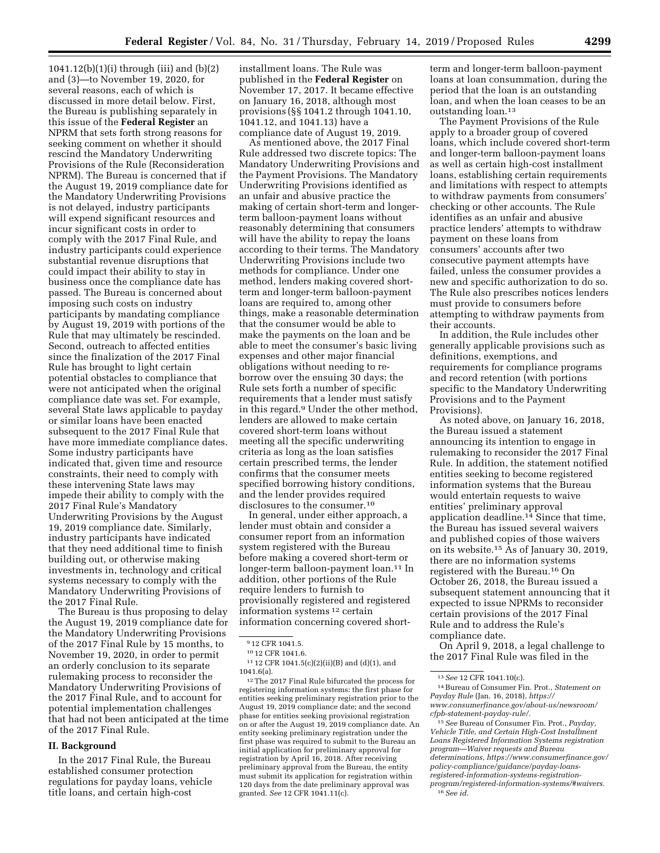1041.12(b)(1)(i) through (iii) and  $(b)(2)$ and (3)—to November 19, 2020, for several reasons, each of which is discussed in more detail below. First, the Bureau is publishing separately in this issue of the **Federal Register** an NPRM that sets forth strong reasons for seeking comment on whether it should rescind the Mandatory Underwriting Provisions of the Rule (Reconsideration NPRM). The Bureau is concerned that if the August 19, 2019 compliance date for the Mandatory Underwriting Provisions is not delayed, industry participants will expend significant resources and incur significant costs in order to comply with the 2017 Final Rule, and industry participants could experience substantial revenue disruptions that could impact their ability to stay in business once the compliance date has passed. The Bureau is concerned about imposing such costs on industry participants by mandating compliance by August 19, 2019 with portions of the Rule that may ultimately be rescinded. Second, outreach to affected entities since the finalization of the 2017 Final Rule has brought to light certain potential obstacles to compliance that were not anticipated when the original compliance date was set. For example, several State laws applicable to payday or similar loans have been enacted subsequent to the 2017 Final Rule that have more immediate compliance dates. Some industry participants have indicated that, given time and resource constraints, their need to comply with these intervening State laws may impede their ability to comply with the 2017 Final Rule's Mandatory Underwriting Provisions by the August 19, 2019 compliance date. Similarly, industry participants have indicated that they need additional time to finish building out, or otherwise making investments in, technology and critical systems necessary to comply with the Mandatory Underwriting Provisions of the 2017 Final Rule.

The Bureau is thus proposing to delay the August 19, 2019 compliance date for the Mandatory Underwriting Provisions of the 2017 Final Rule by 15 months, to November 19, 2020, in order to permit an orderly conclusion to its separate rulemaking process to reconsider the Mandatory Underwriting Provisions of the 2017 Final Rule, and to account for potential implementation challenges that had not been anticipated at the time of the 2017 Final Rule.

# **II. Background**

In the 2017 Final Rule, the Bureau established consumer protection regulations for payday loans, vehicle title loans, and certain high-cost

installment loans. The Rule was published in the **Federal Register** on November 17, 2017. It became effective on January 16, 2018, although most provisions (§§ 1041.2 through 1041.10, 1041.12, and 1041.13) have a compliance date of August 19, 2019.

As mentioned above, the 2017 Final Rule addressed two discrete topics: The Mandatory Underwriting Provisions and the Payment Provisions. The Mandatory Underwriting Provisions identified as an unfair and abusive practice the making of certain short-term and longerterm balloon-payment loans without reasonably determining that consumers will have the ability to repay the loans according to their terms. The Mandatory Underwriting Provisions include two methods for compliance. Under one method, lenders making covered shortterm and longer-term balloon-payment loans are required to, among other things, make a reasonable determination that the consumer would be able to make the payments on the loan and be able to meet the consumer's basic living expenses and other major financial obligations without needing to reborrow over the ensuing 30 days; the Rule sets forth a number of specific requirements that a lender must satisfy in this regard.9 Under the other method, lenders are allowed to make certain covered short-term loans without meeting all the specific underwriting criteria as long as the loan satisfies certain prescribed terms, the lender confirms that the consumer meets specified borrowing history conditions, and the lender provides required disclosures to the consumer.10

In general, under either approach, a lender must obtain and consider a consumer report from an information system registered with the Bureau before making a covered short-term or longer-term balloon-payment loan.11 In addition, other portions of the Rule require lenders to furnish to provisionally registered and registered information systems 12 certain information concerning covered short-

12The 2017 Final Rule bifurcated the process for registering information systems: the first phase for entities seeking preliminary registration prior to the August 19, 2019 compliance date; and the second phase for entities seeking provisional registration on or after the August 19, 2019 compliance date. An entity seeking preliminary registration under the first phase was required to submit to the Bureau an initial application for preliminary approval for registration by April 16, 2018. After receiving preliminary approval from the Bureau, the entity must submit its application for registration within 120 days from the date preliminary approval was granted. *See* 12 CFR 1041.11(c).

term and longer-term balloon-payment loans at loan consummation, during the period that the loan is an outstanding loan, and when the loan ceases to be an outstanding loan.13

The Payment Provisions of the Rule apply to a broader group of covered loans, which include covered short-term and longer-term balloon-payment loans as well as certain high-cost installment loans, establishing certain requirements and limitations with respect to attempts to withdraw payments from consumers' checking or other accounts. The Rule identifies as an unfair and abusive practice lenders' attempts to withdraw payment on these loans from consumers' accounts after two consecutive payment attempts have failed, unless the consumer provides a new and specific authorization to do so. The Rule also prescribes notices lenders must provide to consumers before attempting to withdraw payments from their accounts.

In addition, the Rule includes other generally applicable provisions such as definitions, exemptions, and requirements for compliance programs and record retention (with portions specific to the Mandatory Underwriting Provisions and to the Payment Provisions).

As noted above, on January 16, 2018, the Bureau issued a statement announcing its intention to engage in rulemaking to reconsider the 2017 Final Rule. In addition, the statement notified entities seeking to become registered information systems that the Bureau would entertain requests to waive entities' preliminary approval application deadline.14 Since that time, the Bureau has issued several waivers and published copies of those waivers on its website.15 As of January 30, 2019, there are no information systems registered with the Bureau.16 On October 26, 2018, the Bureau issued a subsequent statement announcing that it expected to issue NPRMs to reconsider certain provisions of the 2017 Final Rule and to address the Rule's compliance date.

On April 9, 2018, a legal challenge to the 2017 Final Rule was filed in the

<sup>9</sup> 12 CFR 1041.5.

<sup>10</sup> 12 CFR 1041.6.

 $11\,12$  CFR 1041.5(c)(2)(ii)(B) and (d)(1), and 1041.6(a).

<sup>13</sup>*See* 12 CFR 1041.10(c).

<sup>14</sup>Bureau of Consumer Fin. Prot., *Statement on Payday Rule* (Jan. 16, 2018), *[https://](https://www.consumerfinance.gov/about-us/newsroom/cfpb-statement-payday-rule/) [www.consumerfinance.gov/about-us/newsroom/](https://www.consumerfinance.gov/about-us/newsroom/cfpb-statement-payday-rule/) [cfpb-statement-payday-rule/.](https://www.consumerfinance.gov/about-us/newsroom/cfpb-statement-payday-rule/)* 

<sup>15</sup>*See* Bureau of Consumer Fin. Prot., *Payday, Vehicle Title, and Certain High-Cost Installment Loans Registered Information Systems registration program*—*Waiver requests and Bureau determinations, [https://www.consumerfinance.gov/](https://www.consumerfinance.gov/policy-compliance/guidance/payday-loans-registered-information-systems-registration-program/registered-information-systems/#waivers) [policy-compliance/guidance/payday-loans](https://www.consumerfinance.gov/policy-compliance/guidance/payday-loans-registered-information-systems-registration-program/registered-information-systems/#waivers)[registered-information-systems-registration](https://www.consumerfinance.gov/policy-compliance/guidance/payday-loans-registered-information-systems-registration-program/registered-information-systems/#waivers)[program/registered-information-systems/#waivers.](https://www.consumerfinance.gov/policy-compliance/guidance/payday-loans-registered-information-systems-registration-program/registered-information-systems/#waivers)*  16*See id.*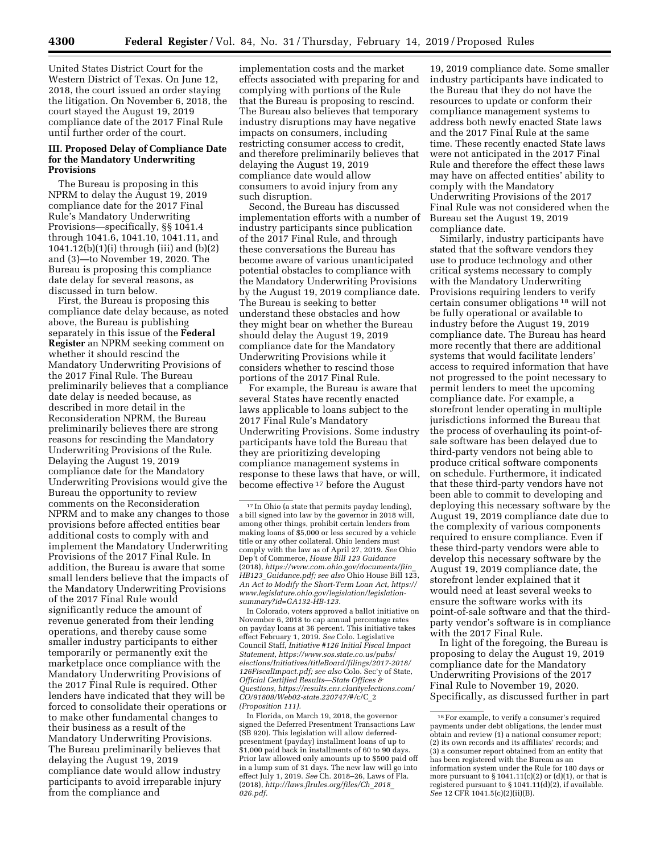United States District Court for the Western District of Texas. On June 12, 2018, the court issued an order staying the litigation. On November 6, 2018, the court stayed the August 19, 2019 compliance date of the 2017 Final Rule until further order of the court.

# **III. Proposed Delay of Compliance Date for the Mandatory Underwriting Provisions**

The Bureau is proposing in this NPRM to delay the August 19, 2019 compliance date for the 2017 Final Rule's Mandatory Underwriting Provisions—specifically, §§ 1041.4 through 1041.6, 1041.10, 1041.11, and 1041.12(b)(1)(i) through (iii) and (b)(2) and (3)—to November 19, 2020. The Bureau is proposing this compliance date delay for several reasons, as discussed in turn below.

First, the Bureau is proposing this compliance date delay because, as noted above, the Bureau is publishing separately in this issue of the **Federal Register** an NPRM seeking comment on whether it should rescind the Mandatory Underwriting Provisions of the 2017 Final Rule. The Bureau preliminarily believes that a compliance date delay is needed because, as described in more detail in the Reconsideration NPRM, the Bureau preliminarily believes there are strong reasons for rescinding the Mandatory Underwriting Provisions of the Rule. Delaying the August 19, 2019 compliance date for the Mandatory Underwriting Provisions would give the Bureau the opportunity to review comments on the Reconsideration NPRM and to make any changes to those provisions before affected entities bear additional costs to comply with and implement the Mandatory Underwriting Provisions of the 2017 Final Rule. In addition, the Bureau is aware that some small lenders believe that the impacts of the Mandatory Underwriting Provisions of the 2017 Final Rule would significantly reduce the amount of revenue generated from their lending operations, and thereby cause some smaller industry participants to either temporarily or permanently exit the marketplace once compliance with the Mandatory Underwriting Provisions of the 2017 Final Rule is required. Other lenders have indicated that they will be forced to consolidate their operations or to make other fundamental changes to their business as a result of the Mandatory Underwriting Provisions. The Bureau preliminarily believes that delaying the August 19, 2019 compliance date would allow industry participants to avoid irreparable injury from the compliance and

implementation costs and the market effects associated with preparing for and complying with portions of the Rule that the Bureau is proposing to rescind. The Bureau also believes that temporary industry disruptions may have negative impacts on consumers, including restricting consumer access to credit, and therefore preliminarily believes that delaying the August 19, 2019 compliance date would allow consumers to avoid injury from any such disruption.

Second, the Bureau has discussed implementation efforts with a number of industry participants since publication of the 2017 Final Rule, and through these conversations the Bureau has become aware of various unanticipated potential obstacles to compliance with the Mandatory Underwriting Provisions by the August 19, 2019 compliance date. The Bureau is seeking to better understand these obstacles and how they might bear on whether the Bureau should delay the August 19, 2019 compliance date for the Mandatory Underwriting Provisions while it considers whether to rescind those portions of the 2017 Final Rule.

For example, the Bureau is aware that several States have recently enacted laws applicable to loans subject to the 2017 Final Rule's Mandatory Underwriting Provisions. Some industry participants have told the Bureau that they are prioritizing developing compliance management systems in response to these laws that have, or will, become effective 17 before the August

In Colorado, voters approved a ballot initiative on November 6, 2018 to cap annual percentage rates on payday loans at 36 percent. This initiative takes effect February 1, 2019. *See* Colo. Legislative Council Staff, *Initiative #126 Initial Fiscal Impact Statement, [https://www.sos.state.co.us/pubs/](https://www.sos.state.co.us/pubs/elections/Initiatives/titleBoard/filings/2017-2018/126FiscalImpact.pdf) [elections/Initiatives/titleBoard/filings/2017-2018/](https://www.sos.state.co.us/pubs/elections/Initiatives/titleBoard/filings/2017-2018/126FiscalImpact.pdf) [126FiscalImpact.pdf;](https://www.sos.state.co.us/pubs/elections/Initiatives/titleBoard/filings/2017-2018/126FiscalImpact.pdf) see also* Colo. Sec'y of State, *Official Certified Results—State Offices & Questions, [https://results.enr.clarityelections.com/](https://results.enr.clarityelections.com/CO/91808/Web02-state.220747/#/c/C_2)  [CO/91808/Web02-state.220747/#/](https://results.enr.clarityelections.com/CO/91808/Web02-state.220747/#/c/C_2)*c/C\_2 *(Proposition 111).* 

In Florida, on March 19, 2018, the governor signed the Deferred Presentment Transactions Law (SB 920). This legislation will allow deferredpresentment (payday) installment loans of up to \$1,000 paid back in installments of 60 to 90 days. Prior law allowed only amounts up to \$500 paid off in a lump sum of 31 days. The new law will go into effect July 1, 2019. *See* Ch. 2018–26, Laws of Fla. (2018), *[http://laws.flrules.org/files/Ch](http://laws.flrules.org/files/Ch_2018_026.pdf)*\_*2018*\_ *[026.pdf.](http://laws.flrules.org/files/Ch_2018_026.pdf)* 

19, 2019 compliance date. Some smaller industry participants have indicated to the Bureau that they do not have the resources to update or conform their compliance management systems to address both newly enacted State laws and the 2017 Final Rule at the same time. These recently enacted State laws were not anticipated in the 2017 Final Rule and therefore the effect these laws may have on affected entities' ability to comply with the Mandatory Underwriting Provisions of the 2017 Final Rule was not considered when the Bureau set the August 19, 2019 compliance date.

Similarly, industry participants have stated that the software vendors they use to produce technology and other critical systems necessary to comply with the Mandatory Underwriting Provisions requiring lenders to verify certain consumer obligations 18 will not be fully operational or available to industry before the August 19, 2019 compliance date. The Bureau has heard more recently that there are additional systems that would facilitate lenders' access to required information that have not progressed to the point necessary to permit lenders to meet the upcoming compliance date. For example, a storefront lender operating in multiple jurisdictions informed the Bureau that the process of overhauling its point-ofsale software has been delayed due to third-party vendors not being able to produce critical software components on schedule. Furthermore, it indicated that these third-party vendors have not been able to commit to developing and deploying this necessary software by the August 19, 2019 compliance date due to the complexity of various components required to ensure compliance. Even if these third-party vendors were able to develop this necessary software by the August 19, 2019 compliance date, the storefront lender explained that it would need at least several weeks to ensure the software works with its point-of-sale software and that the thirdparty vendor's software is in compliance with the 2017 Final Rule.

In light of the foregoing, the Bureau is proposing to delay the August 19, 2019 compliance date for the Mandatory Underwriting Provisions of the 2017 Final Rule to November 19, 2020. Specifically, as discussed further in part

<sup>17</sup> In Ohio (a state that permits payday lending), a bill signed into law by the governor in 2018 will, among other things, prohibit certain lenders from making loans of \$5,000 or less secured by a vehicle title or any other collateral. Ohio lenders must comply with the law as of April 27, 2019. *See* Ohio Dep't of Commerce, *House Bill 123 Guidance*  (2018), *[https://www.com.ohio.gov/documents/fiin](https://www.com.ohio.gov/documents/fiin_HB123_Guidance.pdf)*\_ *HB123*\_*[Guidance.pdf;](https://www.com.ohio.gov/documents/fiin_HB123_Guidance.pdf) see also* Ohio House Bill 123, *An Act to Modify the Short-Term Loan Act, [https://](https://www.legislature.ohio.gov/legislation/legislation-summary?id=GA132-HB-123)  [www.legislature.ohio.gov/legislation/legislation](https://www.legislature.ohio.gov/legislation/legislation-summary?id=GA132-HB-123)[summary?id=GA132-HB-123.](https://www.legislature.ohio.gov/legislation/legislation-summary?id=GA132-HB-123)* 

<sup>18</sup>For example, to verify a consumer's required payments under debt obligations, the lender must obtain and review (1) a national consumer report; (2) its own records and its affiliates' records; and (3) a consumer report obtained from an entity that has been registered with the Bureau as an information system under the Rule for 180 days or more pursuant to  $\S 1041.11(c)(2)$  or (d)(1), or that is registered pursuant to § 1041.11(d)(2), if available. *See* 12 CFR 1041.5(c)(2)(ii)(B).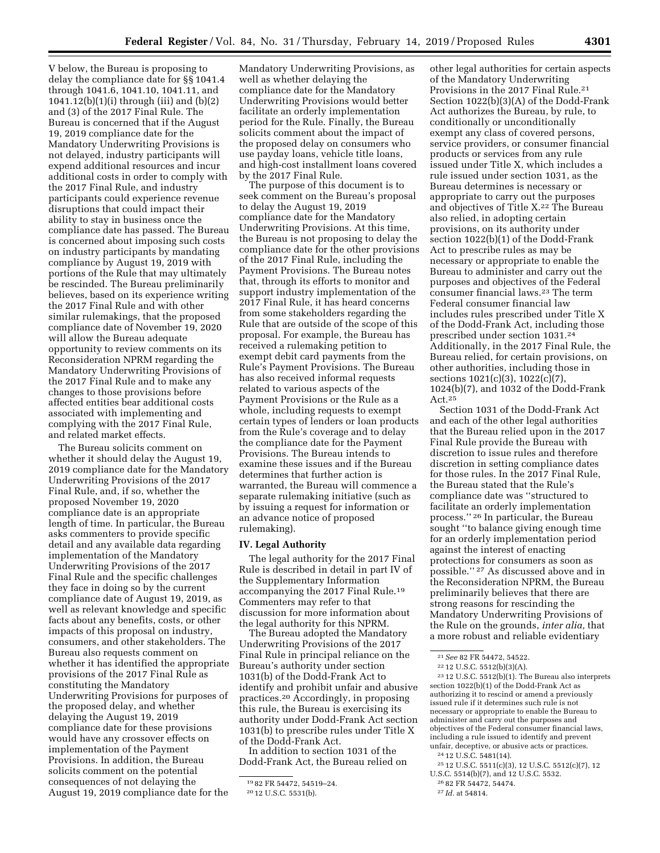V below, the Bureau is proposing to delay the compliance date for §§ 1041.4 through 1041.6, 1041.10, 1041.11, and 1041.12(b)(1)(i) through (iii) and (b)(2) and (3) of the 2017 Final Rule. The Bureau is concerned that if the August 19, 2019 compliance date for the Mandatory Underwriting Provisions is not delayed, industry participants will expend additional resources and incur additional costs in order to comply with the 2017 Final Rule, and industry participants could experience revenue disruptions that could impact their ability to stay in business once the compliance date has passed. The Bureau is concerned about imposing such costs on industry participants by mandating compliance by August 19, 2019 with portions of the Rule that may ultimately be rescinded. The Bureau preliminarily believes, based on its experience writing the 2017 Final Rule and with other similar rulemakings, that the proposed compliance date of November 19, 2020 will allow the Bureau adequate opportunity to review comments on its Reconsideration NPRM regarding the Mandatory Underwriting Provisions of the 2017 Final Rule and to make any changes to those provisions before affected entities bear additional costs associated with implementing and complying with the 2017 Final Rule, and related market effects.

The Bureau solicits comment on whether it should delay the August 19, 2019 compliance date for the Mandatory Underwriting Provisions of the 2017 Final Rule, and, if so, whether the proposed November 19, 2020 compliance date is an appropriate length of time. In particular, the Bureau asks commenters to provide specific detail and any available data regarding implementation of the Mandatory Underwriting Provisions of the 2017 Final Rule and the specific challenges they face in doing so by the current compliance date of August 19, 2019, as well as relevant knowledge and specific facts about any benefits, costs, or other impacts of this proposal on industry, consumers, and other stakeholders. The Bureau also requests comment on whether it has identified the appropriate provisions of the 2017 Final Rule as constituting the Mandatory Underwriting Provisions for purposes of the proposed delay, and whether delaying the August 19, 2019 compliance date for these provisions would have any crossover effects on implementation of the Payment Provisions. In addition, the Bureau solicits comment on the potential consequences of not delaying the August 19, 2019 compliance date for the

Mandatory Underwriting Provisions, as well as whether delaying the compliance date for the Mandatory Underwriting Provisions would better facilitate an orderly implementation period for the Rule. Finally, the Bureau solicits comment about the impact of the proposed delay on consumers who use payday loans, vehicle title loans, and high-cost installment loans covered by the 2017 Final Rule.

The purpose of this document is to seek comment on the Bureau's proposal to delay the August 19, 2019 compliance date for the Mandatory Underwriting Provisions. At this time, the Bureau is not proposing to delay the compliance date for the other provisions of the 2017 Final Rule, including the Payment Provisions. The Bureau notes that, through its efforts to monitor and support industry implementation of the 2017 Final Rule, it has heard concerns from some stakeholders regarding the Rule that are outside of the scope of this proposal. For example, the Bureau has received a rulemaking petition to exempt debit card payments from the Rule's Payment Provisions. The Bureau has also received informal requests related to various aspects of the Payment Provisions or the Rule as a whole, including requests to exempt certain types of lenders or loan products from the Rule's coverage and to delay the compliance date for the Payment Provisions. The Bureau intends to examine these issues and if the Bureau determines that further action is warranted, the Bureau will commence a separate rulemaking initiative (such as by issuing a request for information or an advance notice of proposed rulemaking).

#### **IV. Legal Authority**

The legal authority for the 2017 Final Rule is described in detail in part IV of the Supplementary Information accompanying the 2017 Final Rule.19 Commenters may refer to that discussion for more information about the legal authority for this NPRM.

The Bureau adopted the Mandatory Underwriting Provisions of the 2017 Final Rule in principal reliance on the Bureau's authority under section 1031(b) of the Dodd-Frank Act to identify and prohibit unfair and abusive practices.20 Accordingly, in proposing this rule, the Bureau is exercising its authority under Dodd-Frank Act section 1031(b) to prescribe rules under Title X of the Dodd-Frank Act.

In addition to section 1031 of the Dodd-Frank Act, the Bureau relied on

other legal authorities for certain aspects of the Mandatory Underwriting Provisions in the 2017 Final Rule.21 Section 1022(b)(3)(A) of the Dodd-Frank Act authorizes the Bureau, by rule, to conditionally or unconditionally exempt any class of covered persons, service providers, or consumer financial products or services from any rule issued under Title X, which includes a rule issued under section 1031, as the Bureau determines is necessary or appropriate to carry out the purposes and objectives of Title X.22 The Bureau also relied, in adopting certain provisions, on its authority under section 1022(b)(1) of the Dodd-Frank Act to prescribe rules as may be necessary or appropriate to enable the Bureau to administer and carry out the purposes and objectives of the Federal consumer financial laws.23 The term Federal consumer financial law includes rules prescribed under Title X of the Dodd-Frank Act, including those prescribed under section 1031.24 Additionally, in the 2017 Final Rule, the Bureau relied, for certain provisions, on other authorities, including those in sections 1021(c)(3), 1022(c)(7), 1024(b)(7), and 1032 of the Dodd-Frank Act.25

Section 1031 of the Dodd-Frank Act and each of the other legal authorities that the Bureau relied upon in the 2017 Final Rule provide the Bureau with discretion to issue rules and therefore discretion in setting compliance dates for those rules. In the 2017 Final Rule, the Bureau stated that the Rule's compliance date was ''structured to facilitate an orderly implementation process.'' 26 In particular, the Bureau sought ''to balance giving enough time for an orderly implementation period against the interest of enacting protections for consumers as soon as possible.'' 27 As discussed above and in the Reconsideration NPRM, the Bureau preliminarily believes that there are strong reasons for rescinding the Mandatory Underwriting Provisions of the Rule on the grounds, *inter alia,* that a more robust and reliable evidentiary

23 12 U.S.C. 5512(b)(1). The Bureau also interprets section 1022(b)(1) of the Dodd-Frank Act as authorizing it to rescind or amend a previously issued rule if it determines such rule is not necessary or appropriate to enable the Bureau to administer and carry out the purposes and objectives of the Federal consumer financial laws, including a rule issued to identify and prevent unfair, deceptive, or abusive acts or practices. 24 12 U.S.C. 5481(14).

25 12 U.S.C. 5511(c)(3), 12 U.S.C. 5512(c)(7), 12 U.S.C. 5514(b)(7), and 12 U.S.C. 5532.

27 *Id.* at 54814.

<sup>19</sup> 82 FR 54472, 54519–24.

<sup>20</sup> 12 U.S.C. 5531(b).

<sup>21</sup>*See* 82 FR 54472, 54522.

<sup>22</sup> 12 U.S.C. 5512(b)(3)(A).

<sup>26</sup> 82 FR 54472, 54474.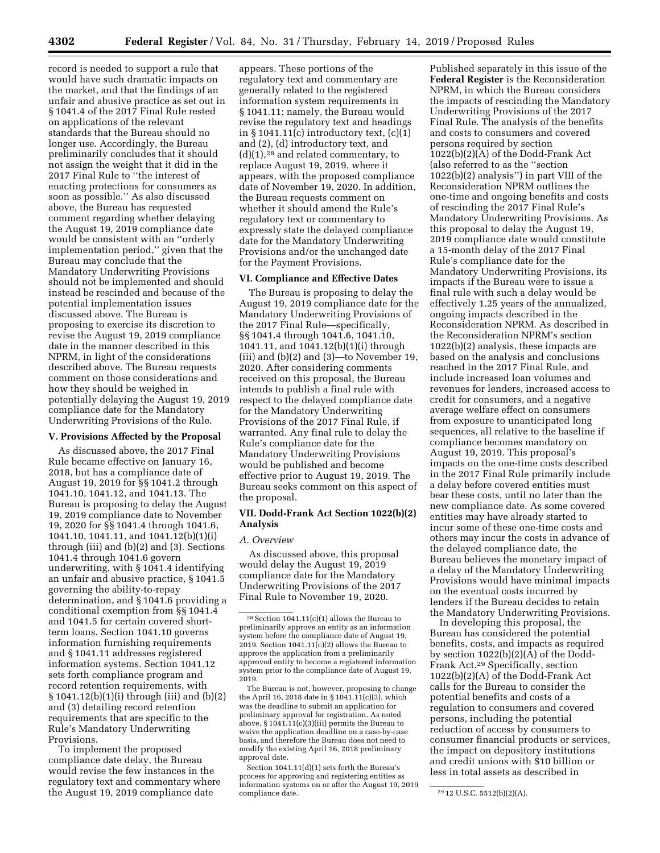record is needed to support a rule that would have such dramatic impacts on the market, and that the findings of an unfair and abusive practice as set out in § 1041.4 of the 2017 Final Rule rested on applications of the relevant standards that the Bureau should no longer use. Accordingly, the Bureau preliminarily concludes that it should not assign the weight that it did in the 2017 Final Rule to ''the interest of enacting protections for consumers as soon as possible.'' As also discussed above, the Bureau has requested comment regarding whether delaying the August 19, 2019 compliance date would be consistent with an ''orderly implementation period,'' given that the Bureau may conclude that the Mandatory Underwriting Provisions should not be implemented and should instead be rescinded and because of the potential implementation issues discussed above. The Bureau is proposing to exercise its discretion to revise the August 19, 2019 compliance date in the manner described in this NPRM, in light of the considerations described above. The Bureau requests comment on those considerations and how they should be weighed in potentially delaying the August 19, 2019 compliance date for the Mandatory Underwriting Provisions of the Rule.

#### **V. Provisions Affected by the Proposal**

As discussed above, the 2017 Final Rule became effective on January 16, 2018, but has a compliance date of August 19, 2019 for §§ 1041.2 through 1041.10, 1041.12, and 1041.13. The Bureau is proposing to delay the August 19, 2019 compliance date to November 19, 2020 for §§ 1041.4 through 1041.6, 1041.10, 1041.11, and 1041.12(b)(1)(i) through (iii) and (b)(2) and (3). Sections 1041.4 through 1041.6 govern underwriting, with § 1041.4 identifying an unfair and abusive practice, § 1041.5 governing the ability-to-repay determination, and § 1041.6 providing a conditional exemption from §§ 1041.4 and 1041.5 for certain covered shortterm loans. Section 1041.10 governs information furnishing requirements and § 1041.11 addresses registered information systems. Section 1041.12 sets forth compliance program and record retention requirements, with § 1041.12(b)(1)(i) through (iii) and (b)(2) and (3) detailing record retention requirements that are specific to the Rule's Mandatory Underwriting Provisions.

To implement the proposed compliance date delay, the Bureau would revise the few instances in the regulatory text and commentary where the August 19, 2019 compliance date

appears. These portions of the regulatory text and commentary are generally related to the registered information system requirements in § 1041.11; namely, the Bureau would revise the regulatory text and headings in  $\S 1041.11(c)$  introductory text,  $(c)(1)$ and (2), (d) introductory text, and  $(d)(1)<sup>28</sup>$  and related commentary, to replace August 19, 2019, where it appears, with the proposed compliance date of November 19, 2020. In addition, the Bureau requests comment on whether it should amend the Rule's regulatory text or commentary to expressly state the delayed compliance date for the Mandatory Underwriting Provisions and/or the unchanged date for the Payment Provisions.

# **VI. Compliance and Effective Dates**

The Bureau is proposing to delay the August 19, 2019 compliance date for the Mandatory Underwriting Provisions of the 2017 Final Rule—specifically, §§ 1041.4 through 1041.6, 1041.10, 1041.11, and 1041.12(b)(1)(i) through (iii) and (b)(2) and (3)—to November 19, 2020. After considering comments received on this proposal, the Bureau intends to publish a final rule with respect to the delayed compliance date for the Mandatory Underwriting Provisions of the 2017 Final Rule, if warranted. Any final rule to delay the Rule's compliance date for the Mandatory Underwriting Provisions would be published and become effective prior to August 19, 2019. The Bureau seeks comment on this aspect of the proposal.

## **VII. Dodd-Frank Act Section 1022(b)(2) Analysis**

#### *A. Overview*

As discussed above, this proposal would delay the August 19, 2019 compliance date for the Mandatory Underwriting Provisions of the 2017 Final Rule to November 19, 2020.

The Bureau is not, however, proposing to change the April 16, 2018 date in § 1041.11(c)(3), which was the deadline to submit an application for preliminary approval for registration. As noted above, § 1041.11(c)(3)(iii) permits the Bureau to waive the application deadline on a case-by-case basis, and therefore the Bureau does not need to modify the existing April 16, 2018 preliminary approval date.

Section 1041.11(d)(1) sets forth the Bureau's process for approving and registering entities as information systems on or after the August 19, 2019

Published separately in this issue of the **Federal Register** is the Reconsideration NPRM, in which the Bureau considers the impacts of rescinding the Mandatory Underwriting Provisions of the 2017 Final Rule. The analysis of the benefits and costs to consumers and covered persons required by section 1022(b)(2)(A) of the Dodd-Frank Act (also referred to as the ''section 1022(b)(2) analysis'') in part VIII of the Reconsideration NPRM outlines the one-time and ongoing benefits and costs of rescinding the 2017 Final Rule's Mandatory Underwriting Provisions. As this proposal to delay the August 19, 2019 compliance date would constitute a 15-month delay of the 2017 Final Rule's compliance date for the Mandatory Underwriting Provisions, its impacts if the Bureau were to issue a final rule with such a delay would be effectively 1.25 years of the annualized, ongoing impacts described in the Reconsideration NPRM. As described in the Reconsideration NPRM's section 1022(b)(2) analysis, these impacts are based on the analysis and conclusions reached in the 2017 Final Rule, and include increased loan volumes and revenues for lenders, increased access to credit for consumers, and a negative average welfare effect on consumers from exposure to unanticipated long sequences, all relative to the baseline if compliance becomes mandatory on August 19, 2019. This proposal's impacts on the one-time costs described in the 2017 Final Rule primarily include a delay before covered entities must bear these costs, until no later than the new compliance date. As some covered entities may have already started to incur some of these one-time costs and others may incur the costs in advance of the delayed compliance date, the Bureau believes the monetary impact of a delay of the Mandatory Underwriting Provisions would have minimal impacts on the eventual costs incurred by lenders if the Bureau decides to retain the Mandatory Underwriting Provisions.

In developing this proposal, the Bureau has considered the potential benefits, costs, and impacts as required by section 1022(b)(2)(A) of the Dodd-Frank Act.29 Specifically, section 1022(b)(2)(A) of the Dodd-Frank Act calls for the Bureau to consider the potential benefits and costs of a regulation to consumers and covered persons, including the potential reduction of access by consumers to consumer financial products or services, the impact on depository institutions and credit unions with \$10 billion or less in total assets as described in

<sup>28</sup>Section 1041.11(c)(1) allows the Bureau to preliminarily approve an entity as an information system before the compliance date of August 19, 2019. Section  $1041.11(c)(2)$  allows the Bureau to approve the application from a preliminarily approved entity to become a registered information system prior to the compliance date of August 19, 2019.

<sup>&</sup>lt;sup>29</sup> 12 U.S.C. 5512(b)(2)(A).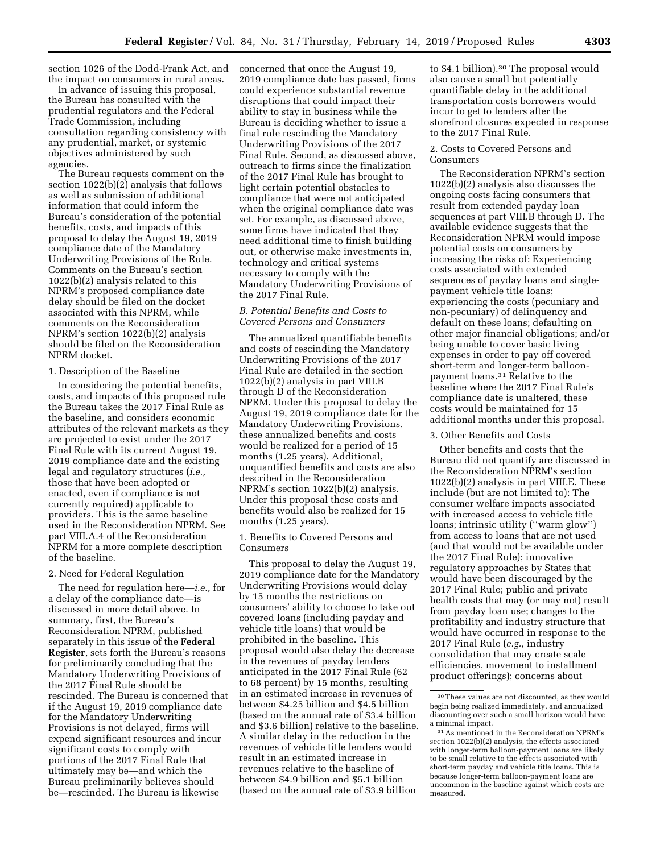section 1026 of the Dodd-Frank Act, and the impact on consumers in rural areas.

In advance of issuing this proposal, the Bureau has consulted with the prudential regulators and the Federal Trade Commission, including consultation regarding consistency with any prudential, market, or systemic objectives administered by such agencies.

The Bureau requests comment on the section 1022(b)(2) analysis that follows as well as submission of additional information that could inform the Bureau's consideration of the potential benefits, costs, and impacts of this proposal to delay the August 19, 2019 compliance date of the Mandatory Underwriting Provisions of the Rule. Comments on the Bureau's section 1022(b)(2) analysis related to this NPRM's proposed compliance date delay should be filed on the docket associated with this NPRM, while comments on the Reconsideration NPRM's section 1022(b)(2) analysis should be filed on the Reconsideration NPRM docket.

# 1. Description of the Baseline

In considering the potential benefits, costs, and impacts of this proposed rule the Bureau takes the 2017 Final Rule as the baseline, and considers economic attributes of the relevant markets as they are projected to exist under the 2017 Final Rule with its current August 19, 2019 compliance date and the existing legal and regulatory structures (*i.e.,*  those that have been adopted or enacted, even if compliance is not currently required) applicable to providers. This is the same baseline used in the Reconsideration NPRM. See part VIII.A.4 of the Reconsideration NPRM for a more complete description of the baseline.

#### 2. Need for Federal Regulation

The need for regulation here—*i.e.,* for a delay of the compliance date—is discussed in more detail above. In summary, first, the Bureau's Reconsideration NPRM, published separately in this issue of the **Federal Register**, sets forth the Bureau's reasons for preliminarily concluding that the Mandatory Underwriting Provisions of the 2017 Final Rule should be rescinded. The Bureau is concerned that if the August 19, 2019 compliance date for the Mandatory Underwriting Provisions is not delayed, firms will expend significant resources and incur significant costs to comply with portions of the 2017 Final Rule that ultimately may be—and which the Bureau preliminarily believes should be—rescinded. The Bureau is likewise

concerned that once the August 19, 2019 compliance date has passed, firms could experience substantial revenue disruptions that could impact their ability to stay in business while the Bureau is deciding whether to issue a final rule rescinding the Mandatory Underwriting Provisions of the 2017 Final Rule. Second, as discussed above, outreach to firms since the finalization of the 2017 Final Rule has brought to light certain potential obstacles to compliance that were not anticipated when the original compliance date was set. For example, as discussed above, some firms have indicated that they need additional time to finish building out, or otherwise make investments in, technology and critical systems necessary to comply with the Mandatory Underwriting Provisions of the 2017 Final Rule.

# *B. Potential Benefits and Costs to Covered Persons and Consumers*

The annualized quantifiable benefits and costs of rescinding the Mandatory Underwriting Provisions of the 2017 Final Rule are detailed in the section 1022(b)(2) analysis in part VIII.B through D of the Reconsideration NPRM. Under this proposal to delay the August 19, 2019 compliance date for the Mandatory Underwriting Provisions, these annualized benefits and costs would be realized for a period of 15 months (1.25 years). Additional, unquantified benefits and costs are also described in the Reconsideration NPRM's section 1022(b)(2) analysis. Under this proposal these costs and benefits would also be realized for 15 months (1.25 years).

1. Benefits to Covered Persons and Consumers

This proposal to delay the August 19, 2019 compliance date for the Mandatory Underwriting Provisions would delay by 15 months the restrictions on consumers' ability to choose to take out covered loans (including payday and vehicle title loans) that would be prohibited in the baseline. This proposal would also delay the decrease in the revenues of payday lenders anticipated in the 2017 Final Rule (62 to 68 percent) by 15 months, resulting in an estimated increase in revenues of between \$4.25 billion and \$4.5 billion (based on the annual rate of \$3.4 billion and \$3.6 billion) relative to the baseline. A similar delay in the reduction in the revenues of vehicle title lenders would result in an estimated increase in revenues relative to the baseline of between \$4.9 billion and \$5.1 billion (based on the annual rate of \$3.9 billion

to \$4.1 billion).30 The proposal would also cause a small but potentially quantifiable delay in the additional transportation costs borrowers would incur to get to lenders after the storefront closures expected in response to the 2017 Final Rule.

# 2. Costs to Covered Persons and Consumers

The Reconsideration NPRM's section 1022(b)(2) analysis also discusses the ongoing costs facing consumers that result from extended payday loan sequences at part VIII.B through D. The available evidence suggests that the Reconsideration NPRM would impose potential costs on consumers by increasing the risks of: Experiencing costs associated with extended sequences of payday loans and singlepayment vehicle title loans; experiencing the costs (pecuniary and non-pecuniary) of delinquency and default on these loans; defaulting on other major financial obligations; and/or being unable to cover basic living expenses in order to pay off covered short-term and longer-term balloonpayment loans.31 Relative to the baseline where the 2017 Final Rule's compliance date is unaltered, these costs would be maintained for 15 additional months under this proposal.

# 3. Other Benefits and Costs

Other benefits and costs that the Bureau did not quantify are discussed in the Reconsideration NPRM's section 1022(b)(2) analysis in part VIII.E. These include (but are not limited to): The consumer welfare impacts associated with increased access to vehicle title loans; intrinsic utility (''warm glow'') from access to loans that are not used (and that would not be available under the 2017 Final Rule); innovative regulatory approaches by States that would have been discouraged by the 2017 Final Rule; public and private health costs that may (or may not) result from payday loan use; changes to the profitability and industry structure that would have occurred in response to the 2017 Final Rule (*e.g.,* industry consolidation that may create scale efficiencies, movement to installment product offerings); concerns about

 $^{\rm 30}\!$  These values are not discounted, as they would begin being realized immediately, and annualized discounting over such a small horizon would have a minimal impact.

 $\rm ^{31}As$  mentioned in the Reconsideration NPRM's section 1022(b)(2) analysis, the effects associated with longer-term balloon-payment loans are likely to be small relative to the effects associated with short-term payday and vehicle title loans. This is because longer-term balloon-payment loans are uncommon in the baseline against which costs are measured.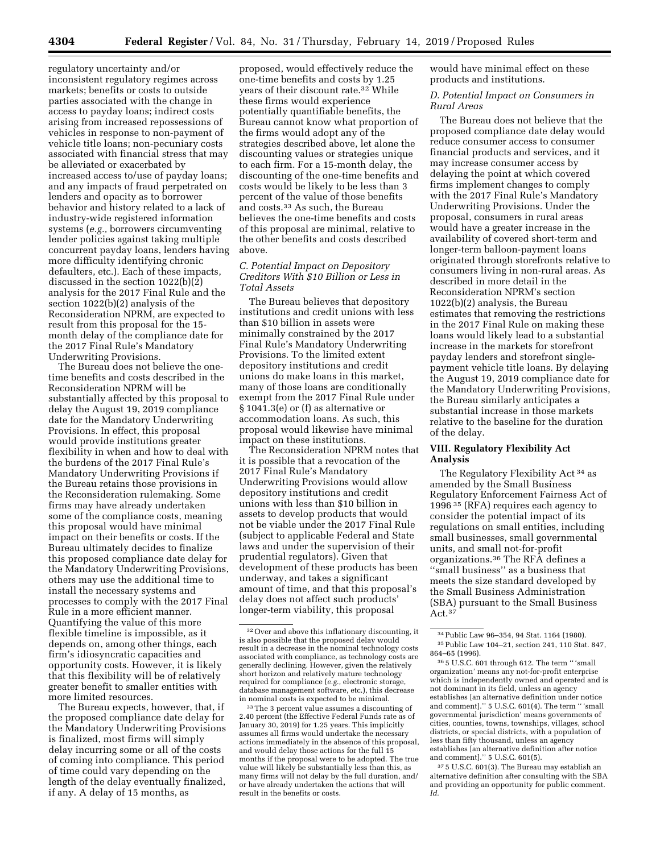regulatory uncertainty and/or inconsistent regulatory regimes across markets; benefits or costs to outside parties associated with the change in access to payday loans; indirect costs arising from increased repossessions of vehicles in response to non-payment of vehicle title loans; non-pecuniary costs associated with financial stress that may be alleviated or exacerbated by increased access to/use of payday loans; and any impacts of fraud perpetrated on lenders and opacity as to borrower behavior and history related to a lack of industry-wide registered information systems (*e.g.,* borrowers circumventing lender policies against taking multiple concurrent payday loans, lenders having more difficulty identifying chronic defaulters, etc.). Each of these impacts, discussed in the section 1022(b)(2) analysis for the 2017 Final Rule and the section 1022(b)(2) analysis of the Reconsideration NPRM, are expected to result from this proposal for the 15 month delay of the compliance date for the 2017 Final Rule's Mandatory Underwriting Provisions.

The Bureau does not believe the onetime benefits and costs described in the Reconsideration NPRM will be substantially affected by this proposal to delay the August 19, 2019 compliance date for the Mandatory Underwriting Provisions. In effect, this proposal would provide institutions greater flexibility in when and how to deal with the burdens of the 2017 Final Rule's Mandatory Underwriting Provisions if the Bureau retains those provisions in the Reconsideration rulemaking. Some firms may have already undertaken some of the compliance costs, meaning this proposal would have minimal impact on their benefits or costs. If the Bureau ultimately decides to finalize this proposed compliance date delay for the Mandatory Underwriting Provisions, others may use the additional time to install the necessary systems and processes to comply with the 2017 Final Rule in a more efficient manner. Quantifying the value of this more flexible timeline is impossible, as it depends on, among other things, each firm's idiosyncratic capacities and opportunity costs. However, it is likely that this flexibility will be of relatively greater benefit to smaller entities with more limited resources.

The Bureau expects, however, that, if the proposed compliance date delay for the Mandatory Underwriting Provisions is finalized, most firms will simply delay incurring some or all of the costs of coming into compliance. This period of time could vary depending on the length of the delay eventually finalized, if any. A delay of 15 months, as

proposed, would effectively reduce the one-time benefits and costs by 1.25 years of their discount rate.32 While these firms would experience potentially quantifiable benefits, the Bureau cannot know what proportion of the firms would adopt any of the strategies described above, let alone the discounting values or strategies unique to each firm. For a 15-month delay, the discounting of the one-time benefits and costs would be likely to be less than 3 percent of the value of those benefits and costs.33 As such, the Bureau believes the one-time benefits and costs of this proposal are minimal, relative to the other benefits and costs described above.

## *C. Potential Impact on Depository Creditors With \$10 Billion or Less in Total Assets*

The Bureau believes that depository institutions and credit unions with less than \$10 billion in assets were minimally constrained by the 2017 Final Rule's Mandatory Underwriting Provisions. To the limited extent depository institutions and credit unions do make loans in this market, many of those loans are conditionally exempt from the 2017 Final Rule under § 1041.3(e) or (f) as alternative or accommodation loans. As such, this proposal would likewise have minimal impact on these institutions.

The Reconsideration NPRM notes that it is possible that a revocation of the 2017 Final Rule's Mandatory Underwriting Provisions would allow depository institutions and credit unions with less than \$10 billion in assets to develop products that would not be viable under the 2017 Final Rule (subject to applicable Federal and State laws and under the supervision of their prudential regulators). Given that development of these products has been underway, and takes a significant amount of time, and that this proposal's delay does not affect such products' longer-term viability, this proposal

33The 3 percent value assumes a discounting of 2.40 percent (the Effective Federal Funds rate as of January 30, 2019) for 1.25 years. This implicitly assumes all firms would undertake the necessary actions immediately in the absence of this proposal, and would delay those actions for the full 15 months if the proposal were to be adopted. The true value will likely be substantially less than this, as many firms will not delay by the full duration, and/ or have already undertaken the actions that will result in the benefits or costs.

would have minimal effect on these products and institutions.

## *D. Potential Impact on Consumers in Rural Areas*

The Bureau does not believe that the proposed compliance date delay would reduce consumer access to consumer financial products and services, and it may increase consumer access by delaying the point at which covered firms implement changes to comply with the 2017 Final Rule's Mandatory Underwriting Provisions. Under the proposal, consumers in rural areas would have a greater increase in the availability of covered short-term and longer-term balloon-payment loans originated through storefronts relative to consumers living in non-rural areas. As described in more detail in the Reconsideration NPRM's section 1022(b)(2) analysis, the Bureau estimates that removing the restrictions in the 2017 Final Rule on making these loans would likely lead to a substantial increase in the markets for storefront payday lenders and storefront singlepayment vehicle title loans. By delaying the August 19, 2019 compliance date for the Mandatory Underwriting Provisions, the Bureau similarly anticipates a substantial increase in those markets relative to the baseline for the duration of the delay.

## **VIII. Regulatory Flexibility Act Analysis**

The Regulatory Flexibility Act 34 as amended by the Small Business Regulatory Enforcement Fairness Act of 1996 35 (RFA) requires each agency to consider the potential impact of its regulations on small entities, including small businesses, small governmental units, and small not-for-profit organizations.36 The RFA defines a ''small business'' as a business that meets the size standard developed by the Small Business Administration (SBA) pursuant to the Small Business Act.37

37 5 U.S.C. 601(3). The Bureau may establish an alternative definition after consulting with the SBA and providing an opportunity for public comment. *Id.* 

<sup>32</sup>Over and above this inflationary discounting, it is also possible that the proposed delay would result in a decrease in the nominal technology costs associated with compliance, as technology costs are generally declining. However, given the relatively short horizon and relatively mature technology required for compliance (*e.g.,* electronic storage, database management software, etc.), this decrease in nominal costs is expected to be minimal.

<sup>34</sup>Public Law 96–354, 94 Stat. 1164 (1980). 35Public Law 104–21, section 241, 110 Stat. 847, 864–65 (1996).

<sup>36</sup> 5 U.S.C. 601 through 612. The term '' 'small organization' means any not-for-profit enterprise which is independently owned and operated and is not dominant in its field, unless an agency establishes [an alternative definition under notice and comment].'' 5 U.S.C. 601(4). The term '' 'small governmental jurisdiction' means governments of cities, counties, towns, townships, villages, school districts, or special districts, with a population of less than fifty thousand, unless an agency establishes [an alternative definition after notice and comment].'' 5 U.S.C. 601(5).